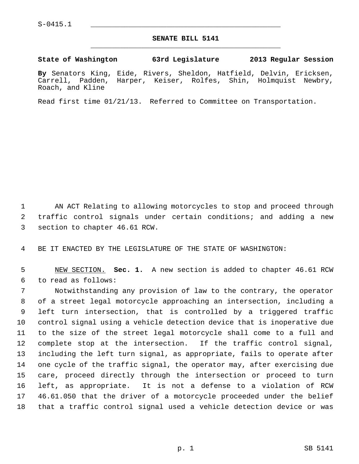## **SENATE BILL 5141** \_\_\_\_\_\_\_\_\_\_\_\_\_\_\_\_\_\_\_\_\_\_\_\_\_\_\_\_\_\_\_\_\_\_\_\_\_\_\_\_\_\_\_\_\_

## **State of Washington 63rd Legislature 2013 Regular Session**

**By** Senators King, Eide, Rivers, Sheldon, Hatfield, Delvin, Ericksen, Carrell, Padden, Harper, Keiser, Rolfes, Shin, Holmquist Newbry, Roach, and Kline

Read first time 01/21/13. Referred to Committee on Transportation.

 1 AN ACT Relating to allowing motorcycles to stop and proceed through 2 traffic control signals under certain conditions; and adding a new 3 section to chapter 46.61 RCW.

4 BE IT ENACTED BY THE LEGISLATURE OF THE STATE OF WASHINGTON:

 5 NEW SECTION. **Sec. 1.** A new section is added to chapter 46.61 RCW 6 to read as follows:

 7 Notwithstanding any provision of law to the contrary, the operator 8 of a street legal motorcycle approaching an intersection, including a 9 left turn intersection, that is controlled by a triggered traffic 10 control signal using a vehicle detection device that is inoperative due 11 to the size of the street legal motorcycle shall come to a full and 12 complete stop at the intersection. If the traffic control signal, 13 including the left turn signal, as appropriate, fails to operate after 14 one cycle of the traffic signal, the operator may, after exercising due 15 care, proceed directly through the intersection or proceed to turn 16 left, as appropriate. It is not a defense to a violation of RCW 17 46.61.050 that the driver of a motorcycle proceeded under the belief 18 that a traffic control signal used a vehicle detection device or was